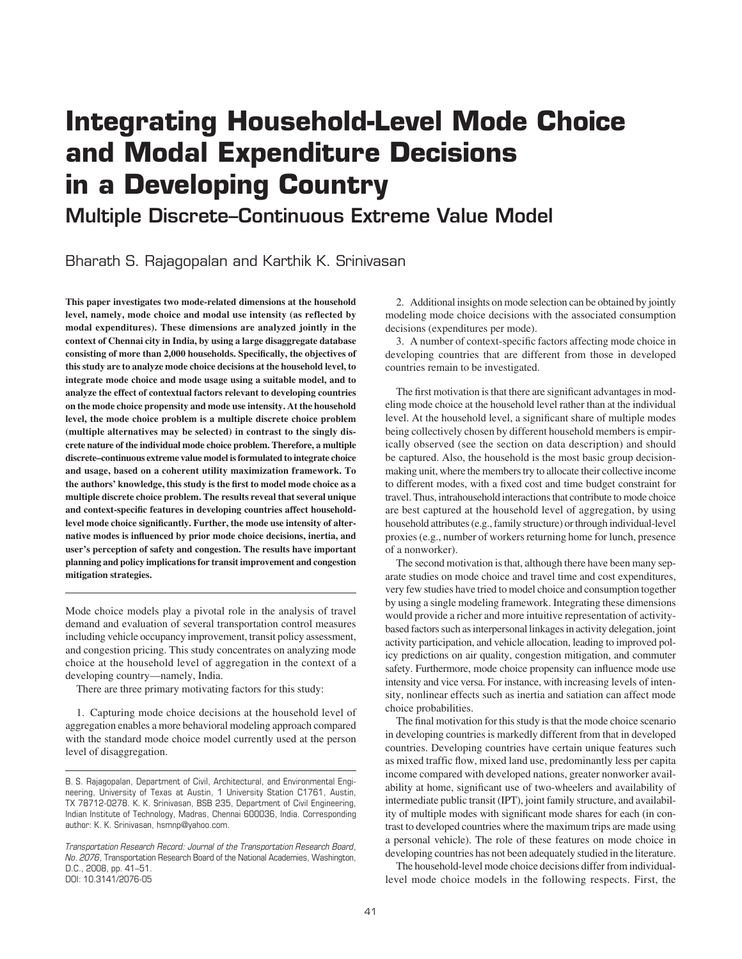# **Integrating Household-Level Mode Choice and Modal Expenditure Decisions in a Developing Country**

Multiple Discrete–Continuous Extreme Value Model

Bharath S. Rajagopalan and Karthik K. Srinivasan

**This paper investigates two mode-related dimensions at the household level, namely, mode choice and modal use intensity (as reflected by modal expenditures). These dimensions are analyzed jointly in the context of Chennai city in India, by using a large disaggregate database consisting of more than 2,000 households. Specifically, the objectives of this study are to analyze mode choice decisions at the household level, to integrate mode choice and mode usage using a suitable model, and to analyze the effect of contextual factors relevant to developing countries on the mode choice propensity and mode use intensity. At the household level, the mode choice problem is a multiple discrete choice problem (multiple alternatives may be selected) in contrast to the singly discrete nature of the individual mode choice problem. Therefore, a multiple discrete–continuous extreme value model is formulated to integrate choice and usage, based on a coherent utility maximization framework. To the authors' knowledge, this study is the first to model mode choice as a multiple discrete choice problem. The results reveal that several unique and context-specific features in developing countries affect householdlevel mode choice significantly. Further, the mode use intensity of alternative modes is influenced by prior mode choice decisions, inertia, and user's perception of safety and congestion. The results have important planning and policy implications for transit improvement and congestion mitigation strategies.**

Mode choice models play a pivotal role in the analysis of travel demand and evaluation of several transportation control measures including vehicle occupancy improvement, transit policy assessment, and congestion pricing. This study concentrates on analyzing mode choice at the household level of aggregation in the context of a developing country—namely, India.

There are three primary motivating factors for this study:

1. Capturing mode choice decisions at the household level of aggregation enables a more behavioral modeling approach compared with the standard mode choice model currently used at the person level of disaggregation.

*Transportation Research Record: Journal of the Transportation Research Board, No. 2076,* Transportation Research Board of the National Academies, Washington, D.C., 2008, pp. 41–51. DOI: 10.3141/2076-05

2. Additional insights on mode selection can be obtained by jointly modeling mode choice decisions with the associated consumption decisions (expenditures per mode).

3. A number of context-specific factors affecting mode choice in developing countries that are different from those in developed countries remain to be investigated.

The first motivation is that there are significant advantages in modeling mode choice at the household level rather than at the individual level. At the household level, a significant share of multiple modes being collectively chosen by different household members is empirically observed (see the section on data description) and should be captured. Also, the household is the most basic group decisionmaking unit, where the members try to allocate their collective income to different modes, with a fixed cost and time budget constraint for travel. Thus, intrahousehold interactions that contribute to mode choice are best captured at the household level of aggregation, by using household attributes (e.g., family structure) or through individual-level proxies (e.g., number of workers returning home for lunch, presence of a nonworker).

The second motivation is that, although there have been many separate studies on mode choice and travel time and cost expenditures, very few studies have tried to model choice and consumption together by using a single modeling framework. Integrating these dimensions would provide a richer and more intuitive representation of activitybased factors such as interpersonal linkages in activity delegation, joint activity participation, and vehicle allocation, leading to improved policy predictions on air quality, congestion mitigation, and commuter safety. Furthermore, mode choice propensity can influence mode use intensity and vice versa. For instance, with increasing levels of intensity, nonlinear effects such as inertia and satiation can affect mode choice probabilities.

The final motivation for this study is that the mode choice scenario in developing countries is markedly different from that in developed countries. Developing countries have certain unique features such as mixed traffic flow, mixed land use, predominantly less per capita income compared with developed nations, greater nonworker availability at home, significant use of two-wheelers and availability of intermediate public transit (IPT), joint family structure, and availability of multiple modes with significant mode shares for each (in contrast to developed countries where the maximum trips are made using a personal vehicle). The role of these features on mode choice in developing countries has not been adequately studied in the literature.

The household-level mode choice decisions differ from individuallevel mode choice models in the following respects. First, the

B. S. Rajagopalan, Department of Civil, Architectural, and Environmental Engineering, University of Texas at Austin, 1 University Station C1761, Austin, TX 78712-0278. K. K. Srinivasan, BSB 235, Department of Civil Engineering, Indian Institute of Technology, Madras, Chennai 600036, India. Corresponding author: K. K. Srinivasan, hsmnp@yahoo.com.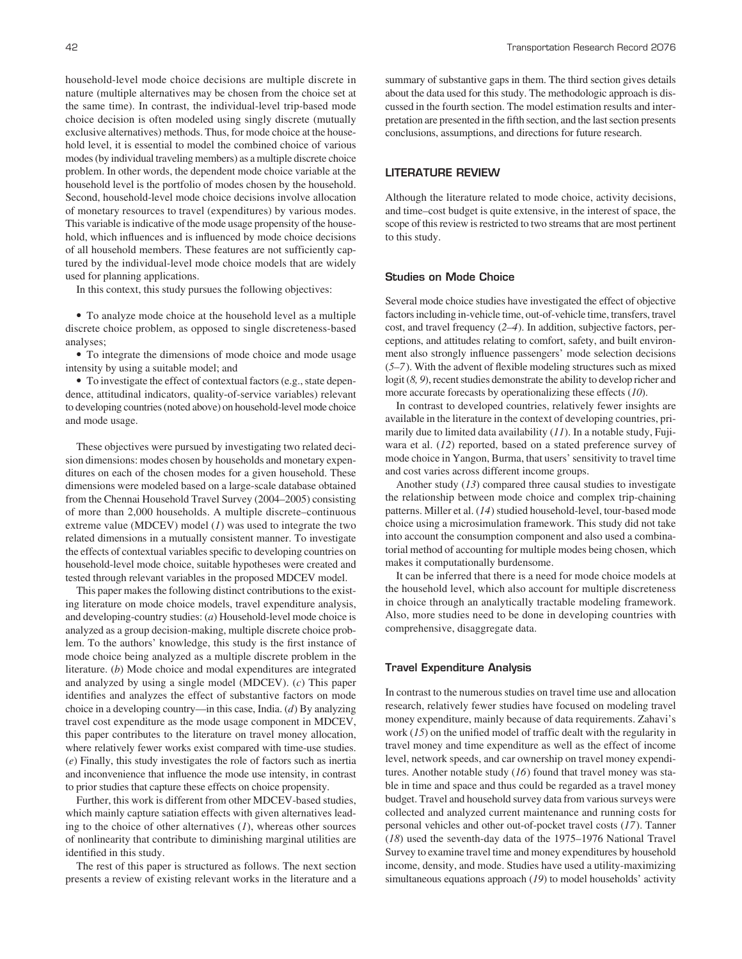household-level mode choice decisions are multiple discrete in nature (multiple alternatives may be chosen from the choice set at the same time). In contrast, the individual-level trip-based mode choice decision is often modeled using singly discrete (mutually exclusive alternatives) methods. Thus, for mode choice at the household level, it is essential to model the combined choice of various modes (by individual traveling members) as a multiple discrete choice problem. In other words, the dependent mode choice variable at the household level is the portfolio of modes chosen by the household. Second, household-level mode choice decisions involve allocation of monetary resources to travel (expenditures) by various modes. This variable is indicative of the mode usage propensity of the household, which influences and is influenced by mode choice decisions of all household members. These features are not sufficiently captured by the individual-level mode choice models that are widely used for planning applications.

In this context, this study pursues the following objectives:

• To analyze mode choice at the household level as a multiple discrete choice problem, as opposed to single discreteness-based analyses;

• To integrate the dimensions of mode choice and mode usage intensity by using a suitable model; and

• To investigate the effect of contextual factors (e.g., state dependence, attitudinal indicators, quality-of-service variables) relevant to developing countries (noted above) on household-level mode choice and mode usage.

These objectives were pursued by investigating two related decision dimensions: modes chosen by households and monetary expenditures on each of the chosen modes for a given household. These dimensions were modeled based on a large-scale database obtained from the Chennai Household Travel Survey (2004–2005) consisting of more than 2,000 households. A multiple discrete–continuous extreme value (MDCEV) model (*1*) was used to integrate the two related dimensions in a mutually consistent manner. To investigate the effects of contextual variables specific to developing countries on household-level mode choice, suitable hypotheses were created and tested through relevant variables in the proposed MDCEV model.

This paper makes the following distinct contributions to the existing literature on mode choice models, travel expenditure analysis, and developing-country studies: (*a*) Household-level mode choice is analyzed as a group decision-making, multiple discrete choice problem. To the authors' knowledge, this study is the first instance of mode choice being analyzed as a multiple discrete problem in the literature. (*b*) Mode choice and modal expenditures are integrated and analyzed by using a single model (MDCEV). (*c*) This paper identifies and analyzes the effect of substantive factors on mode choice in a developing country—in this case, India. (*d*) By analyzing travel cost expenditure as the mode usage component in MDCEV, this paper contributes to the literature on travel money allocation, where relatively fewer works exist compared with time-use studies. (*e*) Finally, this study investigates the role of factors such as inertia and inconvenience that influence the mode use intensity, in contrast to prior studies that capture these effects on choice propensity.

Further, this work is different from other MDCEV-based studies, which mainly capture satiation effects with given alternatives leading to the choice of other alternatives (*1*), whereas other sources of nonlinearity that contribute to diminishing marginal utilities are identified in this study.

The rest of this paper is structured as follows. The next section presents a review of existing relevant works in the literature and a summary of substantive gaps in them. The third section gives details about the data used for this study. The methodologic approach is discussed in the fourth section. The model estimation results and interpretation are presented in the fifth section, and the last section presents conclusions, assumptions, and directions for future research.

# LITERATURE REVIEW

Although the literature related to mode choice, activity decisions, and time–cost budget is quite extensive, in the interest of space, the scope of this review is restricted to two streams that are most pertinent to this study.

#### Studies on Mode Choice

Several mode choice studies have investigated the effect of objective factors including in-vehicle time, out-of-vehicle time, transfers, travel cost, and travel frequency (*2–4*). In addition, subjective factors, perceptions, and attitudes relating to comfort, safety, and built environment also strongly influence passengers' mode selection decisions (*5–7*). With the advent of flexible modeling structures such as mixed logit (*8, 9*), recent studies demonstrate the ability to develop richer and more accurate forecasts by operationalizing these effects (*10*).

In contrast to developed countries, relatively fewer insights are available in the literature in the context of developing countries, primarily due to limited data availability (*11*). In a notable study, Fujiwara et al. (*12*) reported, based on a stated preference survey of mode choice in Yangon, Burma, that users' sensitivity to travel time and cost varies across different income groups.

Another study (*13*) compared three causal studies to investigate the relationship between mode choice and complex trip-chaining patterns. Miller et al. (*14*) studied household-level, tour-based mode choice using a microsimulation framework. This study did not take into account the consumption component and also used a combinatorial method of accounting for multiple modes being chosen, which makes it computationally burdensome.

It can be inferred that there is a need for mode choice models at the household level, which also account for multiple discreteness in choice through an analytically tractable modeling framework. Also, more studies need to be done in developing countries with comprehensive, disaggregate data.

#### Travel Expenditure Analysis

In contrast to the numerous studies on travel time use and allocation research, relatively fewer studies have focused on modeling travel money expenditure, mainly because of data requirements. Zahavi's work (*15*) on the unified model of traffic dealt with the regularity in travel money and time expenditure as well as the effect of income level, network speeds, and car ownership on travel money expenditures. Another notable study (*16*) found that travel money was stable in time and space and thus could be regarded as a travel money budget. Travel and household survey data from various surveys were collected and analyzed current maintenance and running costs for personal vehicles and other out-of-pocket travel costs (*17*). Tanner (*18*) used the seventh-day data of the 1975–1976 National Travel Survey to examine travel time and money expenditures by household income, density, and mode. Studies have used a utility-maximizing simultaneous equations approach (*19*) to model households' activity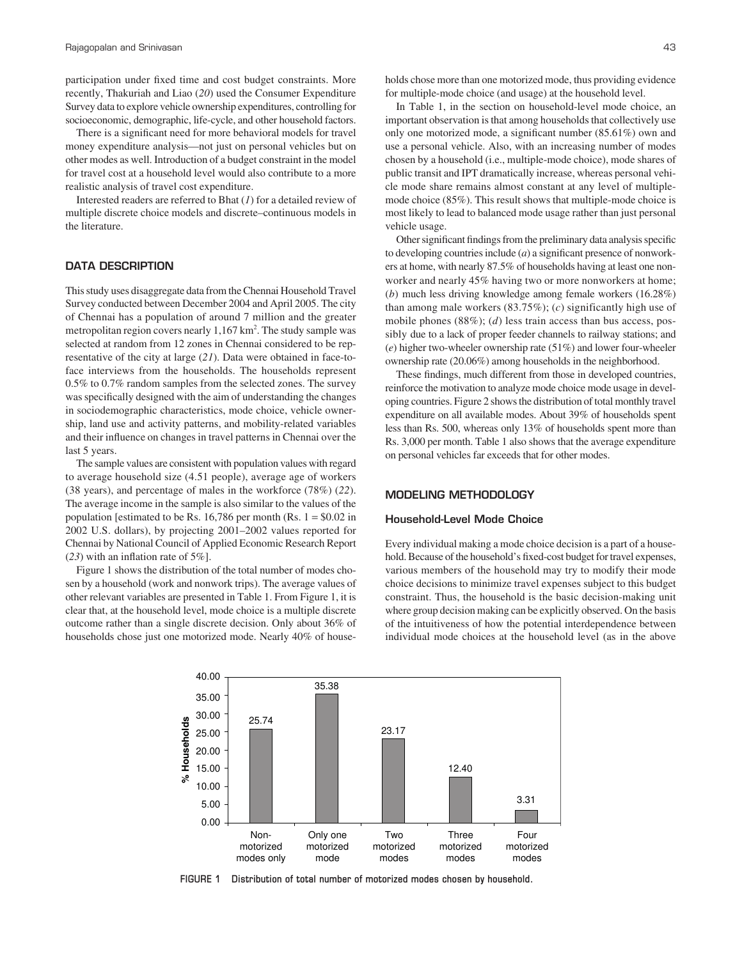participation under fixed time and cost budget constraints. More recently, Thakuriah and Liao (*20*) used the Consumer Expenditure Survey data to explore vehicle ownership expenditures, controlling for socioeconomic, demographic, life-cycle, and other household factors.

There is a significant need for more behavioral models for travel money expenditure analysis—not just on personal vehicles but on other modes as well. Introduction of a budget constraint in the model for travel cost at a household level would also contribute to a more realistic analysis of travel cost expenditure.

Interested readers are referred to Bhat (*1*) for a detailed review of multiple discrete choice models and discrete–continuous models in the literature.

# DATA DESCRIPTION

This study uses disaggregate data from the Chennai Household Travel Survey conducted between December 2004 and April 2005. The city of Chennai has a population of around 7 million and the greater metropolitan region covers nearly  $1,167 \text{ km}^2$ . The study sample was selected at random from 12 zones in Chennai considered to be representative of the city at large (*21*). Data were obtained in face-toface interviews from the households. The households represent 0.5% to 0.7% random samples from the selected zones. The survey was specifically designed with the aim of understanding the changes in sociodemographic characteristics, mode choice, vehicle ownership, land use and activity patterns, and mobility-related variables and their influence on changes in travel patterns in Chennai over the last 5 years.

The sample values are consistent with population values with regard to average household size (4.51 people), average age of workers (38 years), and percentage of males in the workforce (78%) (*22*). The average income in the sample is also similar to the values of the population [estimated to be Rs. 16,786 per month (Rs.  $1 = $0.02$  in 2002 U.S. dollars), by projecting 2001–2002 values reported for Chennai by National Council of Applied Economic Research Report (*23*) with an inflation rate of 5%].

Figure 1 shows the distribution of the total number of modes chosen by a household (work and nonwork trips). The average values of other relevant variables are presented in Table 1. From Figure 1, it is clear that, at the household level, mode choice is a multiple discrete outcome rather than a single discrete decision. Only about 36% of households chose just one motorized mode. Nearly 40% of households chose more than one motorized mode, thus providing evidence for multiple-mode choice (and usage) at the household level.

In Table 1, in the section on household-level mode choice, an important observation is that among households that collectively use only one motorized mode, a significant number (85.61%) own and use a personal vehicle. Also, with an increasing number of modes chosen by a household (i.e., multiple-mode choice), mode shares of public transit and IPT dramatically increase, whereas personal vehicle mode share remains almost constant at any level of multiplemode choice (85%). This result shows that multiple-mode choice is most likely to lead to balanced mode usage rather than just personal vehicle usage.

Other significant findings from the preliminary data analysis specific to developing countries include (*a*) a significant presence of nonworkers at home, with nearly 87.5% of households having at least one nonworker and nearly 45% having two or more nonworkers at home; (*b*) much less driving knowledge among female workers (16.28%) than among male workers (83.75%); (*c*) significantly high use of mobile phones (88%); (*d*) less train access than bus access, possibly due to a lack of proper feeder channels to railway stations; and (*e*) higher two-wheeler ownership rate (51%) and lower four-wheeler ownership rate (20.06%) among households in the neighborhood.

These findings, much different from those in developed countries, reinforce the motivation to analyze mode choice mode usage in developing countries. Figure 2 shows the distribution of total monthly travel expenditure on all available modes. About 39% of households spent less than Rs. 500, whereas only 13% of households spent more than Rs. 3,000 per month. Table 1 also shows that the average expenditure on personal vehicles far exceeds that for other modes.

# MODELING METHODOLOGY

# Household-Level Mode Choice

Every individual making a mode choice decision is a part of a household. Because of the household's fixed-cost budget for travel expenses, various members of the household may try to modify their mode choice decisions to minimize travel expenses subject to this budget constraint. Thus, the household is the basic decision-making unit where group decision making can be explicitly observed. On the basis of the intuitiveness of how the potential interdependence between individual mode choices at the household level (as in the above



**FIGURE 1 Distribution of total number of motorized modes chosen by household.**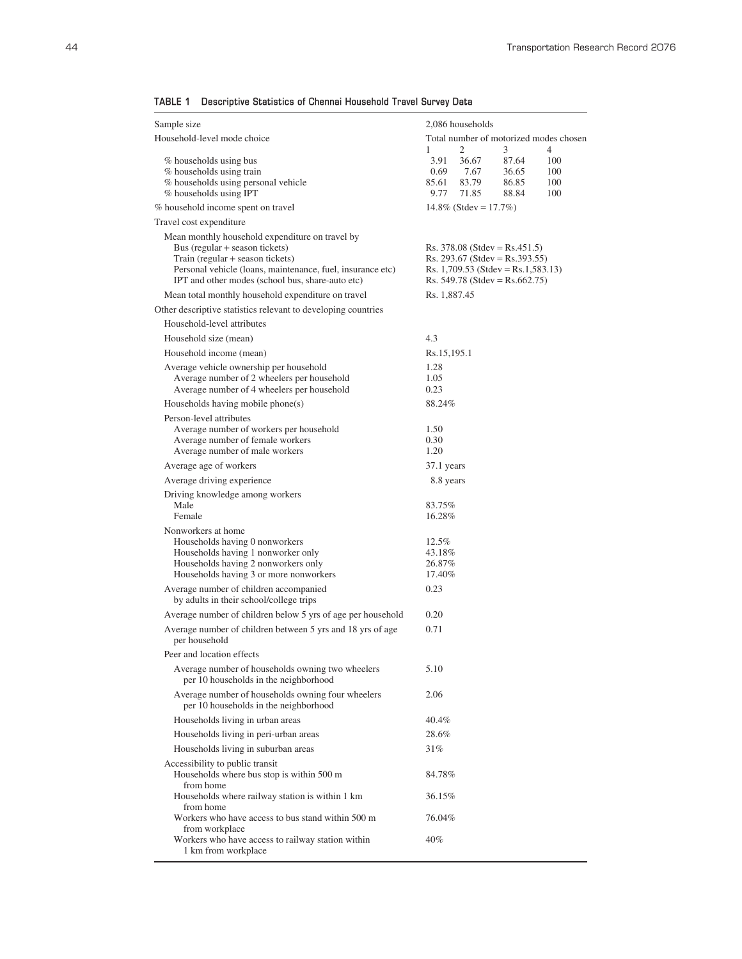| Sample size                                                                                                         | 2,086 households                                                                                         |  |  |  |
|---------------------------------------------------------------------------------------------------------------------|----------------------------------------------------------------------------------------------------------|--|--|--|
| Household-level mode choice                                                                                         | Total number of motorized modes chosen                                                                   |  |  |  |
|                                                                                                                     | 1<br>2<br>3<br>4<br>36.67<br>87.64<br>3.91<br>100                                                        |  |  |  |
| % households using bus<br>% households using train                                                                  | 0.69<br>7.67<br>36.65<br>100                                                                             |  |  |  |
| % households using personal vehicle                                                                                 | 85.61<br>83.79<br>86.85<br>100                                                                           |  |  |  |
| % households using IPT                                                                                              | 71.85<br>88.84<br>9.77<br>100                                                                            |  |  |  |
| % household income spent on travel                                                                                  | 14.8% (Stdev = 17.7%)                                                                                    |  |  |  |
| Travel cost expenditure                                                                                             |                                                                                                          |  |  |  |
| Mean monthly household expenditure on travel by<br>Bus (regular $+$ season tickets)                                 | Rs. $378.08$ (Stdev = Rs. 451.5)<br>Rs. 293.67 (Stdev = Rs.393.55)<br>Rs. 1,709.53 (Stdev = Rs.1,583.13) |  |  |  |
| Train (regular + season tickets)                                                                                    |                                                                                                          |  |  |  |
| Personal vehicle (loans, maintenance, fuel, insurance etc)                                                          |                                                                                                          |  |  |  |
| IPT and other modes (school bus, share-auto etc)                                                                    | Rs. 549.78 (Stdev = Rs. 662.75)                                                                          |  |  |  |
| Mean total monthly household expenditure on travel<br>Other descriptive statistics relevant to developing countries | Rs. 1,887.45                                                                                             |  |  |  |
| Household-level attributes                                                                                          |                                                                                                          |  |  |  |
| Household size (mean)                                                                                               | 4.3                                                                                                      |  |  |  |
|                                                                                                                     |                                                                                                          |  |  |  |
| Household income (mean)<br>Average vehicle ownership per household                                                  | Rs.15,195.1                                                                                              |  |  |  |
| Average number of 2 wheelers per household                                                                          | 1.28<br>1.05                                                                                             |  |  |  |
| Average number of 4 wheelers per household                                                                          | 0.23                                                                                                     |  |  |  |
| Households having mobile phone(s)                                                                                   | 88.24%                                                                                                   |  |  |  |
| Person-level attributes                                                                                             |                                                                                                          |  |  |  |
| Average number of workers per household<br>Average number of female workers                                         | 1.50<br>0.30                                                                                             |  |  |  |
| Average number of male workers                                                                                      | 1.20                                                                                                     |  |  |  |
| Average age of workers                                                                                              | 37.1 years                                                                                               |  |  |  |
| Average driving experience                                                                                          | 8.8 years                                                                                                |  |  |  |
| Driving knowledge among workers                                                                                     |                                                                                                          |  |  |  |
| Male<br>Female                                                                                                      | 83.75%<br>16.28%                                                                                         |  |  |  |
| Nonworkers at home                                                                                                  |                                                                                                          |  |  |  |
| Households having 0 nonworkers                                                                                      | 12.5%                                                                                                    |  |  |  |
| Households having 1 nonworker only                                                                                  | 43.18%                                                                                                   |  |  |  |
| Households having 2 nonworkers only<br>Households having 3 or more nonworkers                                       | 26.87%<br>17.40%                                                                                         |  |  |  |
| Average number of children accompanied                                                                              | 0.23                                                                                                     |  |  |  |
| by adults in their school/college trips                                                                             |                                                                                                          |  |  |  |
| Average number of children below 5 yrs of age per household                                                         | 0.20                                                                                                     |  |  |  |
| Average number of children between 5 yrs and 18 yrs of age<br>per household                                         | 0.71                                                                                                     |  |  |  |
| Peer and location effects                                                                                           |                                                                                                          |  |  |  |
| Average number of households owning two wheelers<br>per 10 households in the neighborhood                           | 5.10                                                                                                     |  |  |  |
| Average number of households owning four wheelers<br>per 10 households in the neighborhood                          | 2.06                                                                                                     |  |  |  |
| Households living in urban areas                                                                                    | 40.4%                                                                                                    |  |  |  |
| Households living in peri-urban areas                                                                               | 28.6%                                                                                                    |  |  |  |
| Households living in suburban areas                                                                                 | 31%                                                                                                      |  |  |  |
| Accessibility to public transit<br>Households where bus stop is within 500 m                                        | 84.78%                                                                                                   |  |  |  |
| from home<br>Households where railway station is within 1 km<br>from home                                           | 36.15%                                                                                                   |  |  |  |
| Workers who have access to bus stand within 500 m<br>from workplace                                                 | 76.04%                                                                                                   |  |  |  |
| Workers who have access to railway station within<br>1 km from workplace                                            | 40%                                                                                                      |  |  |  |

**TABLE 1 Descriptive Statistics of Chennai Household Travel Survey Data**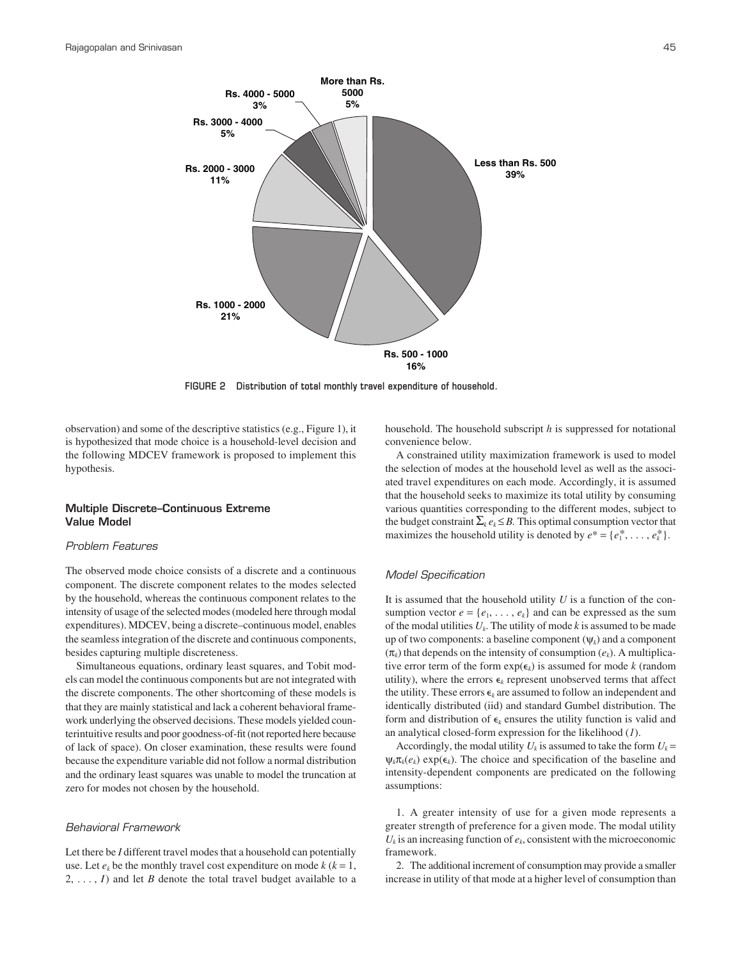

**FIGURE 2 Distribution of total monthly travel expenditure of household.**

observation) and some of the descriptive statistics (e.g., Figure 1), it is hypothesized that mode choice is a household-level decision and the following MDCEV framework is proposed to implement this hypothesis.

## Multiple Discrete–Continuous Extreme Value Model

## Problem Features

The observed mode choice consists of a discrete and a continuous component. The discrete component relates to the modes selected by the household, whereas the continuous component relates to the intensity of usage of the selected modes (modeled here through modal expenditures). MDCEV, being a discrete–continuous model, enables the seamless integration of the discrete and continuous components, besides capturing multiple discreteness.

Simultaneous equations, ordinary least squares, and Tobit models can model the continuous components but are not integrated with the discrete components. The other shortcoming of these models is that they are mainly statistical and lack a coherent behavioral framework underlying the observed decisions. These models yielded counterintuitive results and poor goodness-of-fit (not reported here because of lack of space). On closer examination, these results were found because the expenditure variable did not follow a normal distribution and the ordinary least squares was unable to model the truncation at zero for modes not chosen by the household.

## Behavioral Framework

Let there be *I* different travel modes that a household can potentially use. Let  $e_k$  be the monthly travel cost expenditure on mode  $k$  ( $k = 1$ ,  $2, \ldots, I$  and let *B* denote the total travel budget available to a household. The household subscript *h* is suppressed for notational convenience below.

A constrained utility maximization framework is used to model the selection of modes at the household level as well as the associated travel expenditures on each mode. Accordingly, it is assumed that the household seeks to maximize its total utility by consuming various quantities corresponding to the different modes, subject to the budget constraint  $\Sigma_k e_k \leq B$ . This optimal consumption vector that maximizes the household utility is denoted by  $e^* = \{e_1^*, \ldots, e_k^*\}.$ 

#### Model Specification

It is assumed that the household utility *U* is a function of the consumption vector  $e = \{e_1, \ldots, e_k\}$  and can be expressed as the sum of the modal utilities  $U_k$ . The utility of mode  $k$  is assumed to be made up of two components: a baseline component (ψ*k*) and a component  $(\pi_k)$  that depends on the intensity of consumption  $(e_k)$ . A multiplicative error term of the form  $exp(\epsilon_k)$  is assumed for mode *k* (random utility), where the errors  $\epsilon_k$  represent unobserved terms that affect the utility. These errors  $\epsilon_k$  are assumed to follow an independent and identically distributed (iid) and standard Gumbel distribution. The form and distribution of  $\epsilon_k$  ensures the utility function is valid and an analytical closed-form expression for the likelihood (*1*).

Accordingly, the modal utility  $U_k$  is assumed to take the form  $U_k =$  $\Psi_k \pi_k(e_k)$  exp( $\epsilon_k$ ). The choice and specification of the baseline and intensity-dependent components are predicated on the following assumptions:

1. A greater intensity of use for a given mode represents a greater strength of preference for a given mode. The modal utility  $U_k$  is an increasing function of  $e_k$ , consistent with the microeconomic framework.

2. The additional increment of consumption may provide a smaller increase in utility of that mode at a higher level of consumption than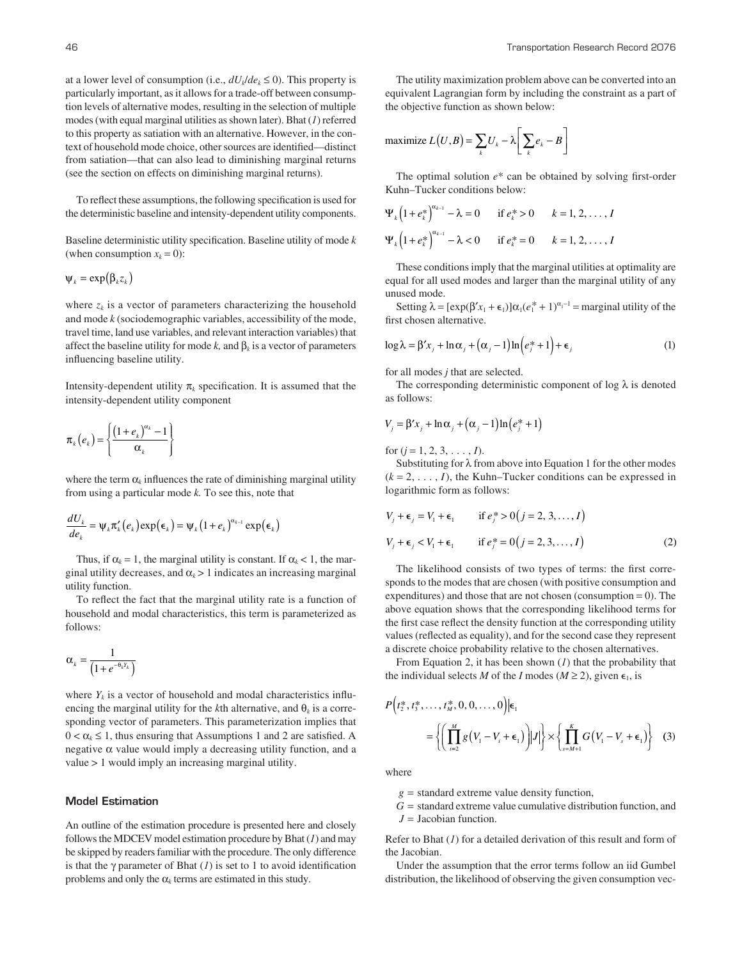To reflect these assumptions, the following specification is used for the deterministic baseline and intensity-dependent utility components.

Baseline deterministic utility specification. Baseline utility of mode *k* (when consumption  $x_k = 0$ ):

$$
\psi_{k} = \exp(\beta_{k} z_{k})
$$

where  $z_k$  is a vector of parameters characterizing the household and mode *k* (sociodemographic variables, accessibility of the mode, travel time, land use variables, and relevant interaction variables) that affect the baseline utility for mode  $k$ , and  $\beta_k$  is a vector of parameters influencing baseline utility.

Intensity-dependent utility  $\pi_k$  specification. It is assumed that the intensity-dependent utility component

$$
\pi_{k}(e_{k}) = \left\{ \frac{\left(1+e_{k}\right)^{\alpha_{k}}-1}{\alpha_{k}} \right\}
$$

where the term  $\alpha_k$  influences the rate of diminishing marginal utility from using a particular mode *k.* To see this, note that

$$
\frac{dU_k}{de_k} = \psi_k \pi'_k(e_k) \exp(\epsilon_k) = \psi_k (1 + e_k)^{\alpha_{k-1}} \exp(\epsilon_k)
$$

Thus, if  $\alpha_k = 1$ , the marginal utility is constant. If  $\alpha_k < 1$ , the marginal utility decreases, and  $\alpha_k$  > 1 indicates an increasing marginal utility function.

To reflect the fact that the marginal utility rate is a function of household and modal characteristics, this term is parameterized as follows:

$$
\alpha_{k} = \frac{1}{\left(1 + e^{-\theta_{k}Y_{k}}\right)}
$$

where  $Y_k$  is a vector of household and modal characteristics influencing the marginal utility for the *k*th alternative, and  $\theta_k$  is a corresponding vector of parameters. This parameterization implies that  $0 < \alpha_k \leq 1$ , thus ensuring that Assumptions 1 and 2 are satisfied. A negative  $\alpha$  value would imply a decreasing utility function, and a value > 1 would imply an increasing marginal utility.

# Model Estimation

An outline of the estimation procedure is presented here and closely follows the MDCEV model estimation procedure by Bhat (*1*) and may be skipped by readers familiar with the procedure. The only difference is that the  $\gamma$  parameter of Bhat (*1*) is set to 1 to avoid identification problems and only the  $\alpha_k$  terms are estimated in this study.

The utility maximization problem above can be converted into an equivalent Lagrangian form by including the constraint as a part of the objective function as shown below:

$$
\text{maximize } L(U, B) = \sum_{k} U_k - \lambda \left[ \sum_{k} e_k - B \right]
$$

The optimal solution *e*\* can be obtained by solving first-order Kuhn–Tucker conditions below:

$$
\Psi_k \left( 1 + e_k^* \right)^{\alpha_{k-1}} - \lambda = 0 \quad \text{if } e_k^* > 0 \quad k = 1, 2, ..., I
$$
  

$$
\Psi_k \left( 1 + e_k^* \right)^{\alpha_{k-1}} - \lambda < 0 \quad \text{if } e_k^* = 0 \quad k = 1, 2, ..., I
$$

These conditions imply that the marginal utilities at optimality are equal for all used modes and larger than the marginal utility of any unused mode.

Setting  $\lambda = [\exp(\beta' x_1 + \epsilon_1)] \alpha_1 (e_1^* + 1)^{\alpha_1 - 1} =$  marginal utility of the first chosen alternative.

$$
\log \lambda = \beta' x_j + \ln \alpha_j + (\alpha_j - 1) \ln \left( e_j^* + 1 \right) + \epsilon_j \tag{1}
$$

for all modes *j* that are selected.

The corresponding deterministic component of log  $\lambda$  is denoted as follows:

$$
V_j = \beta' x_j + \ln \alpha_j + (\alpha_j - 1) \ln (e_j^* + 1)
$$

for  $(j = 1, 2, 3, \ldots, I)$ .

Substituting for  $\lambda$  from above into Equation 1 for the other modes  $(k = 2, \ldots, I)$ , the Kuhn–Tucker conditions can be expressed in logarithmic form as follows:

$$
V_j + \epsilon_j = V_1 + \epsilon_1 \qquad \text{if } e_j^* > 0 (j = 2, 3, ..., I)
$$
  

$$
V_j + \epsilon_j < V_1 + \epsilon_1 \qquad \text{if } e_j^* = 0 (j = 2, 3, ..., I)
$$
 (2)

The likelihood consists of two types of terms: the first corresponds to the modes that are chosen (with positive consumption and expenditures) and those that are not chosen (consumption = 0). The above equation shows that the corresponding likelihood terms for the first case reflect the density function at the corresponding utility values (reflected as equality), and for the second case they represent a discrete choice probability relative to the chosen alternatives.

From Equation 2, it has been shown (*1*) that the probability that the individual selects *M* of the *I* modes ( $M \ge 2$ ), given  $\epsilon_1$ , is

$$
P(t_2^*, t_3^*, \dots, t_M^*, 0, 0, \dots, 0) | \epsilon_1
$$
  
= 
$$
\left\{ \left( \prod_{i=2}^M g(V_1 - V_i + \epsilon_1) \right) |J| \right\} \times \left\{ \prod_{s=M+1}^K G(V_1 - V_s + \epsilon_1) \right\}
$$
 (3)

where

- $g =$  standard extreme value density function,
- $G =$  standard extreme value cumulative distribution function, and *J* = Jacobian function.

Refer to Bhat (*1*) for a detailed derivation of this result and form of the Jacobian.

Under the assumption that the error terms follow an iid Gumbel distribution, the likelihood of observing the given consumption vec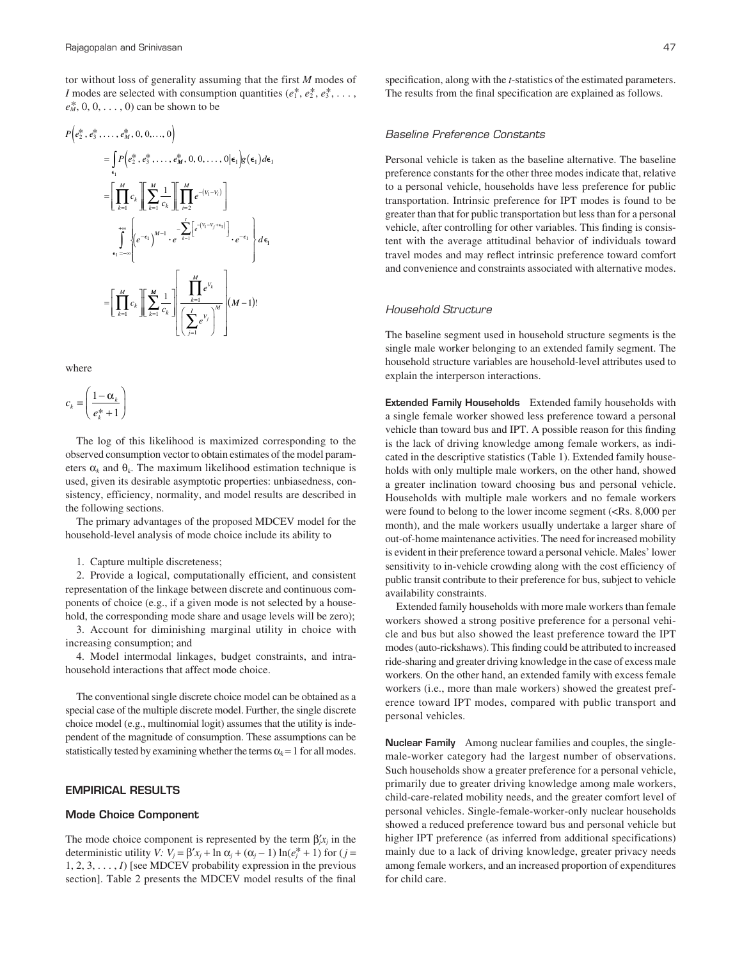tor without loss of generality assuming that the first *M* modes of *I* modes are selected with consumption quantities  $(e_1^*, e_2^*, e_3^*, \ldots, e_n^*)$  $e^*_{M}$ , 0, 0, . . . , 0) can be shown to be

$$
P\left(e_2^k, e_3^k, \dots, e_M^k, 0, 0, \dots, 0\right)
$$
\n
$$
= \int_{\epsilon_1}^{\epsilon_2} P\left(e_2^k, e_3^k, \dots, e_M^k, 0, 0, \dots, 0 | \epsilon_1\right) g(\epsilon_1) d\epsilon_1
$$
\n
$$
= \left[\prod_{k=1}^M c_k \right] \left[\sum_{k=1}^M \frac{1}{c_k} \right] \left[\prod_{i=2}^M e^{-(V_i - V_i)}\right]
$$
\n
$$
\int_{\epsilon_1 = -\infty}^{+\infty} \left\{ \left(e^{-\epsilon_1}\right)^{M-1} \cdot e^{-\sum_{k=1}^I \left[e^{-(V_i - V_j + \epsilon_1)}\right]} \cdot e^{-\epsilon_1} \right\} d\epsilon_1
$$
\n
$$
= \left[\prod_{k=1}^M c_k \right] \left[\sum_{k=1}^M \frac{1}{c_k} \right] \left[\prod_{j=1}^M e^{V_k} \right] \left(M - 1\right)!
$$

where

$$
c_k = \left(\frac{1 - \alpha_k}{e_k^* + 1}\right)
$$

The log of this likelihood is maximized corresponding to the observed consumption vector to obtain estimates of the model parameters  $\alpha_k$  and  $\theta_k$ . The maximum likelihood estimation technique is used, given its desirable asymptotic properties: unbiasedness, consistency, efficiency, normality, and model results are described in the following sections.

The primary advantages of the proposed MDCEV model for the household-level analysis of mode choice include its ability to

#### 1. Capture multiple discreteness;

2. Provide a logical, computationally efficient, and consistent representation of the linkage between discrete and continuous components of choice (e.g., if a given mode is not selected by a household, the corresponding mode share and usage levels will be zero);

3. Account for diminishing marginal utility in choice with increasing consumption; and

4. Model intermodal linkages, budget constraints, and intrahousehold interactions that affect mode choice.

The conventional single discrete choice model can be obtained as a special case of the multiple discrete model. Further, the single discrete choice model (e.g., multinomial logit) assumes that the utility is independent of the magnitude of consumption. These assumptions can be statistically tested by examining whether the terms  $\alpha_k = 1$  for all modes.

# EMPIRICAL RESULTS

#### Mode Choice Component

The mode choice component is represented by the term  $\beta'_j x_j$  in the deterministic utility *V*:  $V_j = \beta' x_j + \ln \alpha_j + (\alpha_j - 1) \ln(e_j^* + 1)$  for (*j* =  $1, 2, 3, \ldots, I$  [see MDCEV probability expression in the previous section]. Table 2 presents the MDCEV model results of the final

specification, along with the *t*-statistics of the estimated parameters. The results from the final specification are explained as follows.

#### Baseline Preference Constants

Personal vehicle is taken as the baseline alternative. The baseline preference constants for the other three modes indicate that, relative to a personal vehicle, households have less preference for public transportation. Intrinsic preference for IPT modes is found to be greater than that for public transportation but less than for a personal vehicle, after controlling for other variables. This finding is consistent with the average attitudinal behavior of individuals toward travel modes and may reflect intrinsic preference toward comfort and convenience and constraints associated with alternative modes.

## Household Structure

The baseline segment used in household structure segments is the single male worker belonging to an extended family segment. The household structure variables are household-level attributes used to explain the interperson interactions.

Extended Family Households Extended family households with a single female worker showed less preference toward a personal vehicle than toward bus and IPT. A possible reason for this finding is the lack of driving knowledge among female workers, as indicated in the descriptive statistics (Table 1). Extended family households with only multiple male workers, on the other hand, showed a greater inclination toward choosing bus and personal vehicle. Households with multiple male workers and no female workers were found to belong to the lower income segment (<Rs. 8,000 per month), and the male workers usually undertake a larger share of out-of-home maintenance activities. The need for increased mobility is evident in their preference toward a personal vehicle. Males' lower sensitivity to in-vehicle crowding along with the cost efficiency of public transit contribute to their preference for bus, subject to vehicle availability constraints.

Extended family households with more male workers than female workers showed a strong positive preference for a personal vehicle and bus but also showed the least preference toward the IPT modes (auto-rickshaws). This finding could be attributed to increased ride-sharing and greater driving knowledge in the case of excess male workers. On the other hand, an extended family with excess female workers (i.e., more than male workers) showed the greatest preference toward IPT modes, compared with public transport and personal vehicles.

Nuclear Family Among nuclear families and couples, the singlemale-worker category had the largest number of observations. Such households show a greater preference for a personal vehicle, primarily due to greater driving knowledge among male workers, child-care-related mobility needs, and the greater comfort level of personal vehicles. Single-female-worker-only nuclear households showed a reduced preference toward bus and personal vehicle but higher IPT preference (as inferred from additional specifications) mainly due to a lack of driving knowledge, greater privacy needs among female workers, and an increased proportion of expenditures for child care.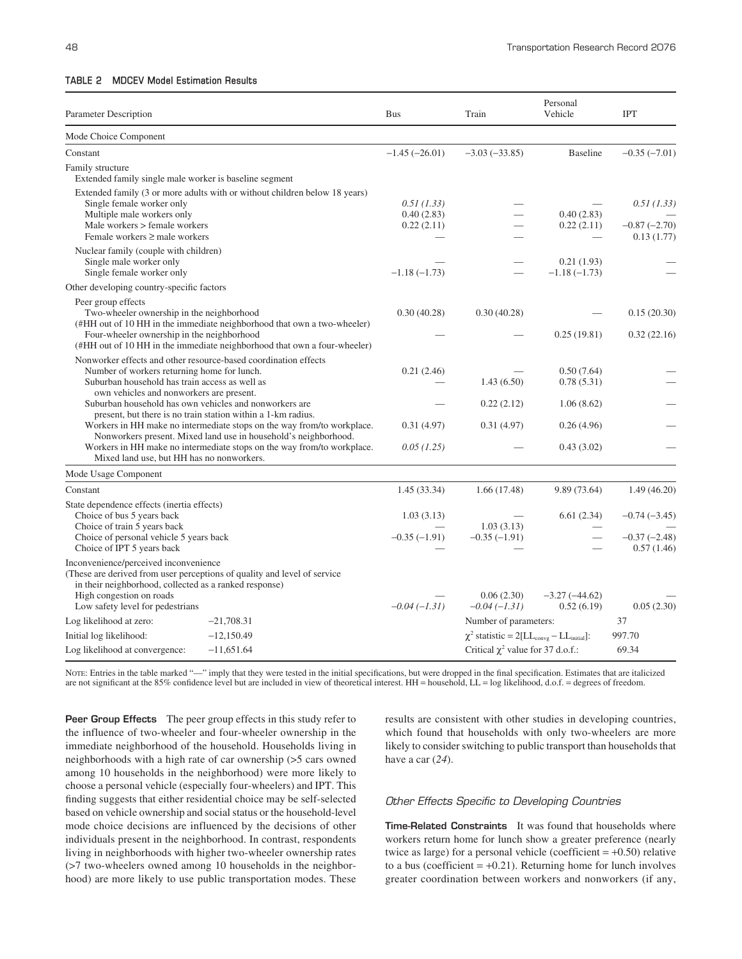# **TABLE 2 MDCEV Model Estimation Results**

| Parameter Description                                                                                                                                                                                        |                                                                            | <b>Bus</b>                             | Train                                                                                            | Personal<br>Vehicle           | <b>IPT</b>                                 |
|--------------------------------------------------------------------------------------------------------------------------------------------------------------------------------------------------------------|----------------------------------------------------------------------------|----------------------------------------|--------------------------------------------------------------------------------------------------|-------------------------------|--------------------------------------------|
| Mode Choice Component                                                                                                                                                                                        |                                                                            |                                        |                                                                                                  |                               |                                            |
| Constant                                                                                                                                                                                                     |                                                                            | $-1.45(-26.01)$                        | $-3.03(-33.85)$                                                                                  | <b>Baseline</b>               | $-0.35(-7.01)$                             |
| Family structure<br>Extended family single male worker is baseline segment                                                                                                                                   |                                                                            |                                        |                                                                                                  |                               |                                            |
| Single female worker only<br>Multiple male workers only<br>Male workers > female workers<br>Female workers $\geq$ male workers                                                                               | Extended family (3 or more adults with or without children below 18 years) | 0.51(1.33)<br>0.40(2.83)<br>0.22(2.11) | $\overline{\phantom{a}}$<br>$\overline{\phantom{0}}$                                             | 0.40(2.83)<br>0.22(2.11)      | 0.51(1.33)<br>$-0.87(-2.70)$<br>0.13(1.77) |
| Nuclear family (couple with children)<br>Single male worker only<br>Single female worker only                                                                                                                |                                                                            | $-1.18(-1.73)$                         |                                                                                                  | 0.21(1.93)<br>$-1.18(-1.73)$  |                                            |
| Other developing country-specific factors                                                                                                                                                                    |                                                                            |                                        |                                                                                                  |                               |                                            |
| Peer group effects<br>Two-wheeler ownership in the neighborhood                                                                                                                                              | (#HH out of 10 HH in the immediate neighborhood that own a two-wheeler)    | 0.30(40.28)                            | 0.30(40.28)                                                                                      |                               | 0.15(20.30)                                |
| Four-wheeler ownership in the neighborhood<br>(#HH out of 10 HH in the immediate neighborhood that own a four-wheeler)                                                                                       |                                                                            |                                        |                                                                                                  | 0.25(19.81)                   | 0.32(22.16)                                |
| Nonworker effects and other resource-based coordination effects<br>Number of workers returning home for lunch.<br>Suburban household has train access as well as<br>own vehicles and nonworkers are present. |                                                                            | 0.21(2.46)                             | 1.43(6.50)                                                                                       | 0.50(7.64)<br>0.78(5.31)      |                                            |
| Suburban household has own vehicles and nonworkers are                                                                                                                                                       | present, but there is no train station within a 1-km radius.               |                                        | 0.22(2.12)                                                                                       | 1.06(8.62)                    |                                            |
|                                                                                                                                                                                                              | Workers in HH make no intermediate stops on the way from/to workplace.     | 0.31(4.97)                             | 0.31(4.97)                                                                                       | 0.26(4.96)                    |                                            |
| Nonworkers present. Mixed land use in household's neighborhood.<br>Workers in HH make no intermediate stops on the way from/to workplace.<br>Mixed land use, but HH has no nonworkers.                       |                                                                            | 0.05(1.25)                             |                                                                                                  | 0.43(3.02)                    |                                            |
| Mode Usage Component                                                                                                                                                                                         |                                                                            |                                        |                                                                                                  |                               |                                            |
| Constant                                                                                                                                                                                                     |                                                                            | 1.45(33.34)                            | 1.66(17.48)                                                                                      | 9.89 (73.64)                  | 1.49(46.20)                                |
| State dependence effects (inertia effects)<br>Choice of bus 5 years back<br>Choice of train 5 years back<br>Choice of personal vehicle 5 years back<br>Choice of IPT 5 years back                            |                                                                            | 1.03(3.13)                             | 1.03(3.13)                                                                                       | 6.61(2.34)                    | $-0.74(-3.45)$                             |
|                                                                                                                                                                                                              |                                                                            | $-0.35(-1.91)$                         | $-0.35(-1.91)$                                                                                   |                               | $-0.37(-2.48)$<br>0.57(1.46)               |
| Inconvenience/perceived inconvenience<br>in their neighborhood, collected as a ranked response)<br>High congestion on roads<br>Low safety level for pedestrians                                              | (These are derived from user perceptions of quality and level of service   | $-0.04(-1.31)$                         | 0.06(2.30)<br>$-0.04(-1.31)$                                                                     | $-3.27(-44.62)$<br>0.52(6.19) | 0.05(2.30)                                 |
| Log likelihood at zero:                                                                                                                                                                                      | $-21,708.31$                                                               |                                        | Number of parameters:                                                                            |                               | 37                                         |
| Initial log likelihood:<br>$-12,150.49$                                                                                                                                                                      |                                                                            |                                        | $\chi^2 \; \text{statistic} = 2[\text{LL}_{\text{convg}} - \text{LL}_{\text{initial}}] \text{:}$ |                               | 997.70                                     |
| Log likelihood at convergence:<br>$-11,651.64$                                                                                                                                                               |                                                                            |                                        | Critical $\chi^2$ value for 37 d.o.f.:                                                           |                               | 69.34                                      |

NOTE: Entries in the table marked "—" imply that they were tested in the initial specifications, but were dropped in the final specification. Estimates that are italicized are not significant at the 85% confidence level but are included in view of theoretical interest. HH = household, LL = log likelihood, d.o.f. = degrees of freedom.

Peer Group Effects The peer group effects in this study refer to the influence of two-wheeler and four-wheeler ownership in the immediate neighborhood of the household. Households living in neighborhoods with a high rate of car ownership (>5 cars owned among 10 households in the neighborhood) were more likely to choose a personal vehicle (especially four-wheelers) and IPT. This finding suggests that either residential choice may be self-selected based on vehicle ownership and social status or the household-level mode choice decisions are influenced by the decisions of other individuals present in the neighborhood. In contrast, respondents living in neighborhoods with higher two-wheeler ownership rates (>7 two-wheelers owned among 10 households in the neighborhood) are more likely to use public transportation modes. These

results are consistent with other studies in developing countries, which found that households with only two-wheelers are more likely to consider switching to public transport than households that have a car (*24*).

# Other Effects Specific to Developing Countries

Time-Related Constraints It was found that households where workers return home for lunch show a greater preference (nearly twice as large) for a personal vehicle (coefficient  $= +0.50$ ) relative to a bus (coefficient  $= +0.21$ ). Returning home for lunch involves greater coordination between workers and nonworkers (if any,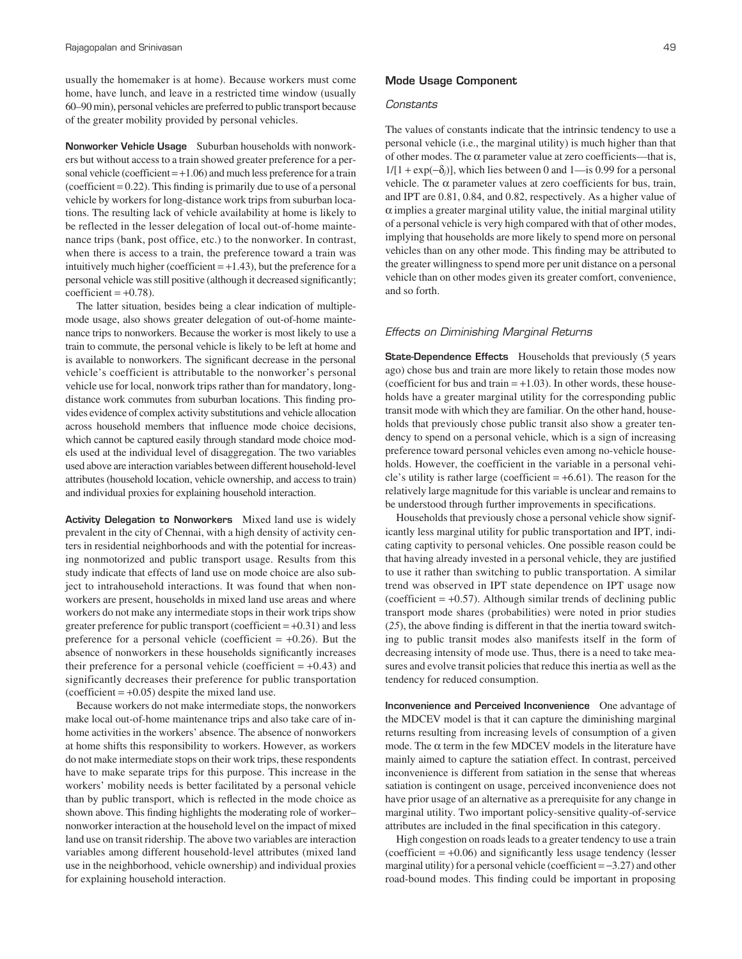usually the homemaker is at home). Because workers must come home, have lunch, and leave in a restricted time window (usually 60–90 min), personal vehicles are preferred to public transport because of the greater mobility provided by personal vehicles.

Nonworker Vehicle Usage Suburban households with nonworkers but without access to a train showed greater preference for a personal vehicle (coefficient  $= +1.06$ ) and much less preference for a train  $(coefficient = 0.22)$ . This finding is primarily due to use of a personal vehicle by workers for long-distance work trips from suburban locations. The resulting lack of vehicle availability at home is likely to be reflected in the lesser delegation of local out-of-home maintenance trips (bank, post office, etc.) to the nonworker. In contrast, when there is access to a train, the preference toward a train was intuitively much higher (coefficient  $= +1.43$ ), but the preference for a personal vehicle was still positive (although it decreased significantly;  $coefficient = +0.78$ ).

The latter situation, besides being a clear indication of multiplemode usage, also shows greater delegation of out-of-home maintenance trips to nonworkers. Because the worker is most likely to use a train to commute, the personal vehicle is likely to be left at home and is available to nonworkers. The significant decrease in the personal vehicle's coefficient is attributable to the nonworker's personal vehicle use for local, nonwork trips rather than for mandatory, longdistance work commutes from suburban locations. This finding provides evidence of complex activity substitutions and vehicle allocation across household members that influence mode choice decisions, which cannot be captured easily through standard mode choice models used at the individual level of disaggregation. The two variables used above are interaction variables between different household-level attributes (household location, vehicle ownership, and access to train) and individual proxies for explaining household interaction.

Activity Delegation to Nonworkers Mixed land use is widely prevalent in the city of Chennai, with a high density of activity centers in residential neighborhoods and with the potential for increasing nonmotorized and public transport usage. Results from this study indicate that effects of land use on mode choice are also subject to intrahousehold interactions. It was found that when nonworkers are present, households in mixed land use areas and where workers do not make any intermediate stops in their work trips show greater preference for public transport (coefficient  $= +0.31$ ) and less preference for a personal vehicle (coefficient  $= +0.26$ ). But the absence of nonworkers in these households significantly increases their preference for a personal vehicle (coefficient  $= +0.43$ ) and significantly decreases their preference for public transportation  $(coefficient = +0.05)$  despite the mixed land use.

Because workers do not make intermediate stops, the nonworkers make local out-of-home maintenance trips and also take care of inhome activities in the workers' absence. The absence of nonworkers at home shifts this responsibility to workers. However, as workers do not make intermediate stops on their work trips, these respondents have to make separate trips for this purpose. This increase in the workers' mobility needs is better facilitated by a personal vehicle than by public transport, which is reflected in the mode choice as shown above. This finding highlights the moderating role of worker– nonworker interaction at the household level on the impact of mixed land use on transit ridership. The above two variables are interaction variables among different household-level attributes (mixed land use in the neighborhood, vehicle ownership) and individual proxies for explaining household interaction.

## Mode Usage Component

#### Constants

The values of constants indicate that the intrinsic tendency to use a personal vehicle (i.e., the marginal utility) is much higher than that of other modes. The  $\alpha$  parameter value at zero coefficients—that is,  $1/[1 + \exp(-\delta_i)]$ , which lies between 0 and 1—is 0.99 for a personal vehicle. The α parameter values at zero coefficients for bus, train, and IPT are 0.81, 0.84, and 0.82, respectively. As a higher value of  $\alpha$  implies a greater marginal utility value, the initial marginal utility of a personal vehicle is very high compared with that of other modes, implying that households are more likely to spend more on personal vehicles than on any other mode. This finding may be attributed to the greater willingness to spend more per unit distance on a personal vehicle than on other modes given its greater comfort, convenience, and so forth.

# Effects on Diminishing Marginal Returns

State-Dependence Effects Households that previously (5 years ago) chose bus and train are more likely to retain those modes now (coefficient for bus and train  $= +1.03$ ). In other words, these households have a greater marginal utility for the corresponding public transit mode with which they are familiar. On the other hand, households that previously chose public transit also show a greater tendency to spend on a personal vehicle, which is a sign of increasing preference toward personal vehicles even among no-vehicle households. However, the coefficient in the variable in a personal vehicle's utility is rather large (coefficient  $= +6.61$ ). The reason for the relatively large magnitude for this variable is unclear and remains to be understood through further improvements in specifications.

Households that previously chose a personal vehicle show significantly less marginal utility for public transportation and IPT, indicating captivity to personal vehicles. One possible reason could be that having already invested in a personal vehicle, they are justified to use it rather than switching to public transportation. A similar trend was observed in IPT state dependence on IPT usage now (coefficient  $= +0.57$ ). Although similar trends of declining public transport mode shares (probabilities) were noted in prior studies (*25*), the above finding is different in that the inertia toward switching to public transit modes also manifests itself in the form of decreasing intensity of mode use. Thus, there is a need to take measures and evolve transit policies that reduce this inertia as well as the tendency for reduced consumption.

Inconvenience and Perceived Inconvenience One advantage of the MDCEV model is that it can capture the diminishing marginal returns resulting from increasing levels of consumption of a given mode. The  $\alpha$  term in the few MDCEV models in the literature have mainly aimed to capture the satiation effect. In contrast, perceived inconvenience is different from satiation in the sense that whereas satiation is contingent on usage, perceived inconvenience does not have prior usage of an alternative as a prerequisite for any change in marginal utility. Two important policy-sensitive quality-of-service attributes are included in the final specification in this category.

High congestion on roads leads to a greater tendency to use a train (coefficient  $= +0.06$ ) and significantly less usage tendency (lesser marginal utility) for a personal vehicle (coefficient  $= -3.27$ ) and other road-bound modes. This finding could be important in proposing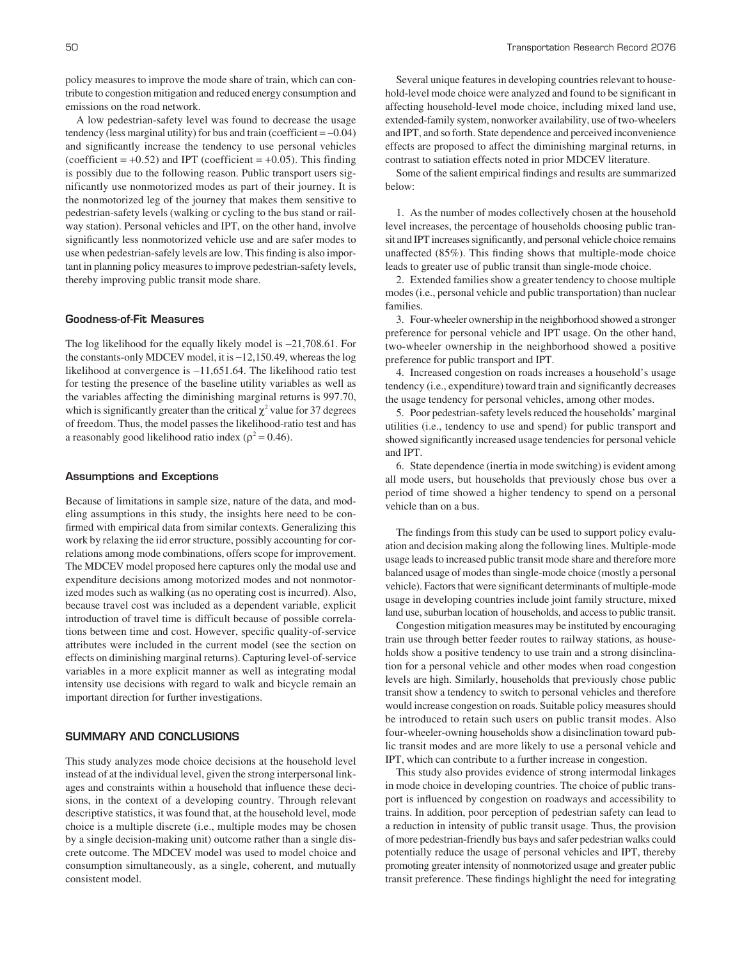policy measures to improve the mode share of train, which can contribute to congestion mitigation and reduced energy consumption and emissions on the road network.

A low pedestrian-safety level was found to decrease the usage tendency (less marginal utility) for bus and train (coefficient = −0.04) and significantly increase the tendency to use personal vehicles (coefficient =  $+0.52$ ) and IPT (coefficient =  $+0.05$ ). This finding is possibly due to the following reason. Public transport users significantly use nonmotorized modes as part of their journey. It is the nonmotorized leg of the journey that makes them sensitive to pedestrian-safety levels (walking or cycling to the bus stand or railway station). Personal vehicles and IPT, on the other hand, involve significantly less nonmotorized vehicle use and are safer modes to use when pedestrian-safely levels are low. This finding is also important in planning policy measures to improve pedestrian-safety levels, thereby improving public transit mode share.

# Goodness-of-Fit Measures

The log likelihood for the equally likely model is −21,708.61. For the constants-only MDCEV model, it is −12,150.49, whereas the log likelihood at convergence is −11,651.64. The likelihood ratio test for testing the presence of the baseline utility variables as well as the variables affecting the diminishing marginal returns is 997.70, which is significantly greater than the critical  $\chi^2$  value for 37 degrees of freedom. Thus, the model passes the likelihood-ratio test and has a reasonably good likelihood ratio index ( $\rho^2 = 0.46$ ).

#### Assumptions and Exceptions

Because of limitations in sample size, nature of the data, and modeling assumptions in this study, the insights here need to be confirmed with empirical data from similar contexts. Generalizing this work by relaxing the iid error structure, possibly accounting for correlations among mode combinations, offers scope for improvement. The MDCEV model proposed here captures only the modal use and expenditure decisions among motorized modes and not nonmotorized modes such as walking (as no operating cost is incurred). Also, because travel cost was included as a dependent variable, explicit introduction of travel time is difficult because of possible correlations between time and cost. However, specific quality-of-service attributes were included in the current model (see the section on effects on diminishing marginal returns). Capturing level-of-service variables in a more explicit manner as well as integrating modal intensity use decisions with regard to walk and bicycle remain an important direction for further investigations.

## SUMMARY AND CONCLUSIONS

This study analyzes mode choice decisions at the household level instead of at the individual level, given the strong interpersonal linkages and constraints within a household that influence these decisions, in the context of a developing country. Through relevant descriptive statistics, it was found that, at the household level, mode choice is a multiple discrete (i.e., multiple modes may be chosen by a single decision-making unit) outcome rather than a single discrete outcome. The MDCEV model was used to model choice and consumption simultaneously, as a single, coherent, and mutually consistent model.

Several unique features in developing countries relevant to household-level mode choice were analyzed and found to be significant in affecting household-level mode choice, including mixed land use, extended-family system, nonworker availability, use of two-wheelers and IPT, and so forth. State dependence and perceived inconvenience effects are proposed to affect the diminishing marginal returns, in contrast to satiation effects noted in prior MDCEV literature.

Some of the salient empirical findings and results are summarized below:

1. As the number of modes collectively chosen at the household level increases, the percentage of households choosing public transit and IPT increases significantly, and personal vehicle choice remains unaffected (85%). This finding shows that multiple-mode choice leads to greater use of public transit than single-mode choice.

2. Extended families show a greater tendency to choose multiple modes (i.e., personal vehicle and public transportation) than nuclear families.

3. Four-wheeler ownership in the neighborhood showed a stronger preference for personal vehicle and IPT usage. On the other hand, two-wheeler ownership in the neighborhood showed a positive preference for public transport and IPT.

4. Increased congestion on roads increases a household's usage tendency (i.e., expenditure) toward train and significantly decreases the usage tendency for personal vehicles, among other modes.

5. Poor pedestrian-safety levels reduced the households' marginal utilities (i.e., tendency to use and spend) for public transport and showed significantly increased usage tendencies for personal vehicle and IPT.

6. State dependence (inertia in mode switching) is evident among all mode users, but households that previously chose bus over a period of time showed a higher tendency to spend on a personal vehicle than on a bus.

The findings from this study can be used to support policy evaluation and decision making along the following lines. Multiple-mode usage leads to increased public transit mode share and therefore more balanced usage of modes than single-mode choice (mostly a personal vehicle). Factors that were significant determinants of multiple-mode usage in developing countries include joint family structure, mixed land use, suburban location of households, and access to public transit.

Congestion mitigation measures may be instituted by encouraging train use through better feeder routes to railway stations, as households show a positive tendency to use train and a strong disinclination for a personal vehicle and other modes when road congestion levels are high. Similarly, households that previously chose public transit show a tendency to switch to personal vehicles and therefore would increase congestion on roads. Suitable policy measures should be introduced to retain such users on public transit modes. Also four-wheeler-owning households show a disinclination toward public transit modes and are more likely to use a personal vehicle and IPT, which can contribute to a further increase in congestion.

This study also provides evidence of strong intermodal linkages in mode choice in developing countries. The choice of public transport is influenced by congestion on roadways and accessibility to trains. In addition, poor perception of pedestrian safety can lead to a reduction in intensity of public transit usage. Thus, the provision of more pedestrian-friendly bus bays and safer pedestrian walks could potentially reduce the usage of personal vehicles and IPT, thereby promoting greater intensity of nonmotorized usage and greater public transit preference. These findings highlight the need for integrating